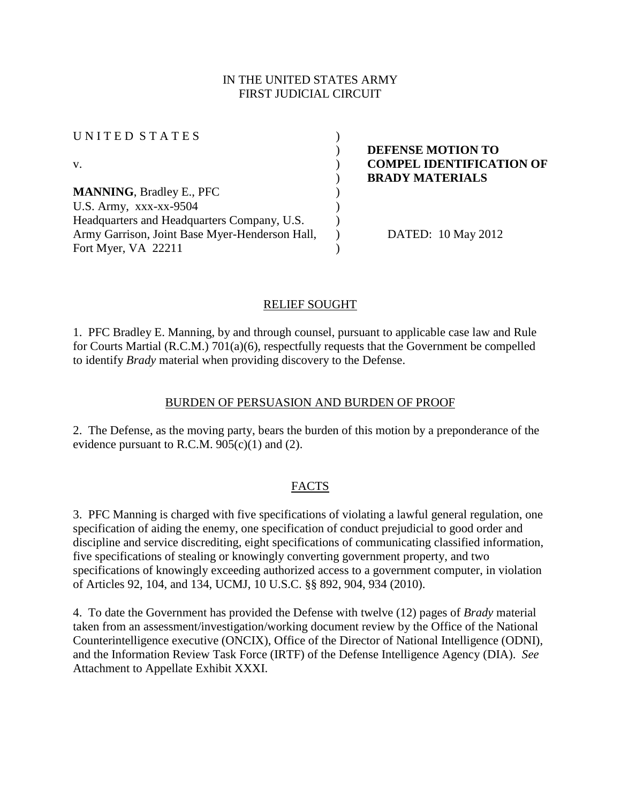### IN THE UNITED STATES ARMY FIRST JUDICIAL CIRCUIT

| UNITED STATES<br>V.                            |                                 |  |
|------------------------------------------------|---------------------------------|--|
|                                                |                                 |  |
|                                                |                                 |  |
|                                                | <b>MANNING, Bradley E., PFC</b> |  |
| U.S. Army, $xxxx-xx-9504$                      |                                 |  |
| Headquarters and Headquarters Company, U.S.    |                                 |  |
| Army Garrison, Joint Base Myer-Henderson Hall, |                                 |  |
| Fort Myer, VA 22211                            |                                 |  |

) **DEFENSE MOTION TO COMPEL IDENTIFICATION OF** ) **BRADY MATERIALS**

) DATED: 10 May 2012

# RELIEF SOUGHT

1. PFC Bradley E. Manning, by and through counsel, pursuant to applicable case law and Rule for Courts Martial (R.C.M.) 701(a)(6), respectfully requests that the Government be compelled to identify *Brady* material when providing discovery to the Defense.

## BURDEN OF PERSUASION AND BURDEN OF PROOF

2. The Defense, as the moving party, bears the burden of this motion by a preponderance of the evidence pursuant to R.C.M.  $905(c)(1)$  and (2).

### FACTS

3. PFC Manning is charged with five specifications of violating a lawful general regulation, one specification of aiding the enemy, one specification of conduct prejudicial to good order and discipline and service discrediting, eight specifications of communicating classified information, five specifications of stealing or knowingly converting government property, and two specifications of knowingly exceeding authorized access to a government computer, in violation of Articles 92, 104, and 134, UCMJ, 10 U.S.C. §§ 892, 904, 934 (2010).

4. To date the Government has provided the Defense with twelve (12) pages of *Brady* material taken from an assessment/investigation/working document review by the Office of the National Counterintelligence executive (ONCIX), Office of the Director of National Intelligence (ODNI), and the Information Review Task Force (IRTF) of the Defense Intelligence Agency (DIA). *See*  Attachment to Appellate Exhibit XXXI.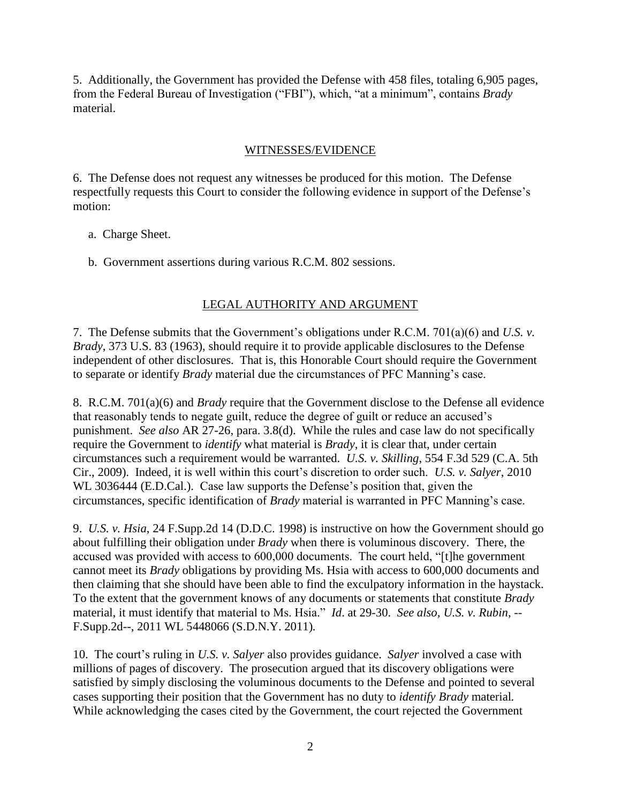5. Additionally, the Government has provided the Defense with 458 files, totaling 6,905 pages, from the Federal Bureau of Investigation ("FBI"), which, "at a minimum", contains *Brady* material.

#### WITNESSES/EVIDENCE

6. The Defense does not request any witnesses be produced for this motion. The Defense respectfully requests this Court to consider the following evidence in support of the Defense's motion:

- a. Charge Sheet.
- b. Government assertions during various R.C.M. 802 sessions.

# LEGAL AUTHORITY AND ARGUMENT

7. The Defense submits that the Government's obligations under R.C.M. 701(a)(6) and *U.S. v. Brady*, 373 U.S. 83 (1963), should require it to provide applicable disclosures to the Defense independent of other disclosures. That is, this Honorable Court should require the Government to separate or identify *Brady* material due the circumstances of PFC Manning's case.

8. R.C.M. 701(a)(6) and *Brady* require that the Government disclose to the Defense all evidence that reasonably tends to negate guilt, reduce the degree of guilt or reduce an accused's punishment. *See also* AR 27-26, para. 3.8(d). While the rules and case law do not specifically require the Government to *identify* what material is *Brady*, it is clear that, under certain circumstances such a requirement would be warranted. *U.S. v. Skilling*, 554 F.3d 529 (C.A. 5th Cir., 2009). Indeed, it is well within this court's discretion to order such. *U.S. v. Salyer*, 2010 WL 3036444 (E.D.Cal.). Case law supports the Defense's position that, given the circumstances, specific identification of *Brady* material is warranted in PFC Manning's case.

9. *U.S. v. Hsia*, 24 F.Supp.2d 14 (D.D.C. 1998) is instructive on how the Government should go about fulfilling their obligation under *Brady* when there is voluminous discovery. There, the accused was provided with access to 600,000 documents. The court held, "[t]he government cannot meet its *Brady* obligations by providing Ms. Hsia with access to 600,000 documents and then claiming that she should have been able to find the exculpatory information in the haystack. To the extent that the government knows of any documents or statements that constitute *Brady* material, it must identify that material to Ms. Hsia." *Id*. at 29-30. *See also, U.S. v. Rubin*, -- F.Supp.2d--, 2011 WL 5448066 (S.D.N.Y. 2011)*.*

10. The court's ruling in *U.S. v. Salyer* also provides guidance. *Salyer* involved a case with millions of pages of discovery. The prosecution argued that its discovery obligations were satisfied by simply disclosing the voluminous documents to the Defense and pointed to several cases supporting their position that the Government has no duty to *identify Brady* material*.*  While acknowledging the cases cited by the Government, the court rejected the Government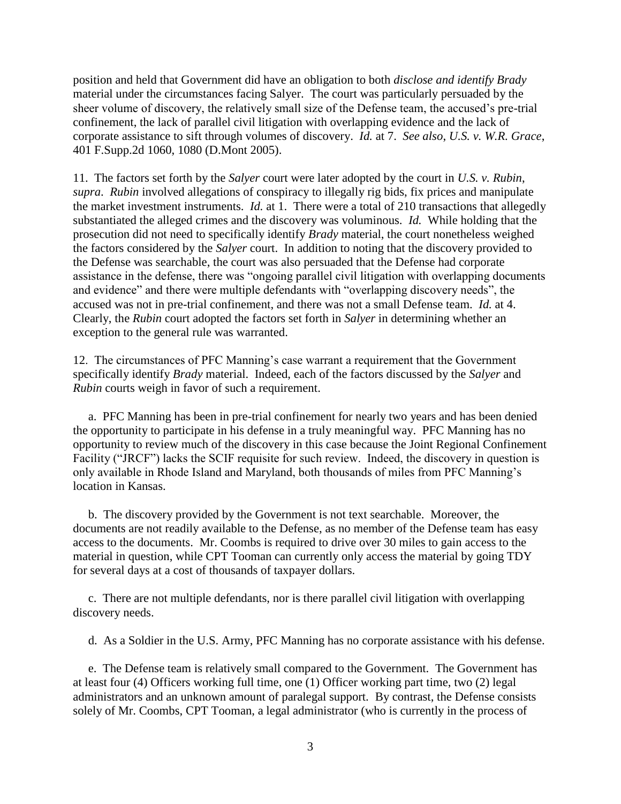position and held that Government did have an obligation to both *disclose and identify Brady* material under the circumstances facing Salyer. The court was particularly persuaded by the sheer volume of discovery, the relatively small size of the Defense team, the accused's pre-trial confinement, the lack of parallel civil litigation with overlapping evidence and the lack of corporate assistance to sift through volumes of discovery. *Id.* at 7. *See also*, *U.S. v. W.R. Grace*, 401 F.Supp.2d 1060, 1080 (D.Mont 2005).

11. The factors set forth by the *Salyer* court were later adopted by the court in *U.S. v. Rubin*, *supra*. *Rubin* involved allegations of conspiracy to illegally rig bids, fix prices and manipulate the market investment instruments. *Id.* at 1. There were a total of 210 transactions that allegedly substantiated the alleged crimes and the discovery was voluminous. *Id.* While holding that the prosecution did not need to specifically identify *Brady* material, the court nonetheless weighed the factors considered by the *Salyer* court. In addition to noting that the discovery provided to the Defense was searchable, the court was also persuaded that the Defense had corporate assistance in the defense, there was "ongoing parallel civil litigation with overlapping documents and evidence" and there were multiple defendants with "overlapping discovery needs", the accused was not in pre-trial confinement, and there was not a small Defense team. *Id.* at 4. Clearly, the *Rubin* court adopted the factors set forth in *Salyer* in determining whether an exception to the general rule was warranted.

12. The circumstances of PFC Manning's case warrant a requirement that the Government specifically identify *Brady* material. Indeed, each of the factors discussed by the *Salyer* and *Rubin* courts weigh in favor of such a requirement.

 a. PFC Manning has been in pre-trial confinement for nearly two years and has been denied the opportunity to participate in his defense in a truly meaningful way. PFC Manning has no opportunity to review much of the discovery in this case because the Joint Regional Confinement Facility ("JRCF") lacks the SCIF requisite for such review. Indeed, the discovery in question is only available in Rhode Island and Maryland, both thousands of miles from PFC Manning's location in Kansas.

 b. The discovery provided by the Government is not text searchable. Moreover, the documents are not readily available to the Defense, as no member of the Defense team has easy access to the documents. Mr. Coombs is required to drive over 30 miles to gain access to the material in question, while CPT Tooman can currently only access the material by going TDY for several days at a cost of thousands of taxpayer dollars.

 c. There are not multiple defendants, nor is there parallel civil litigation with overlapping discovery needs.

d. As a Soldier in the U.S. Army, PFC Manning has no corporate assistance with his defense.

 e. The Defense team is relatively small compared to the Government. The Government has at least four (4) Officers working full time, one (1) Officer working part time, two (2) legal administrators and an unknown amount of paralegal support. By contrast, the Defense consists solely of Mr. Coombs, CPT Tooman, a legal administrator (who is currently in the process of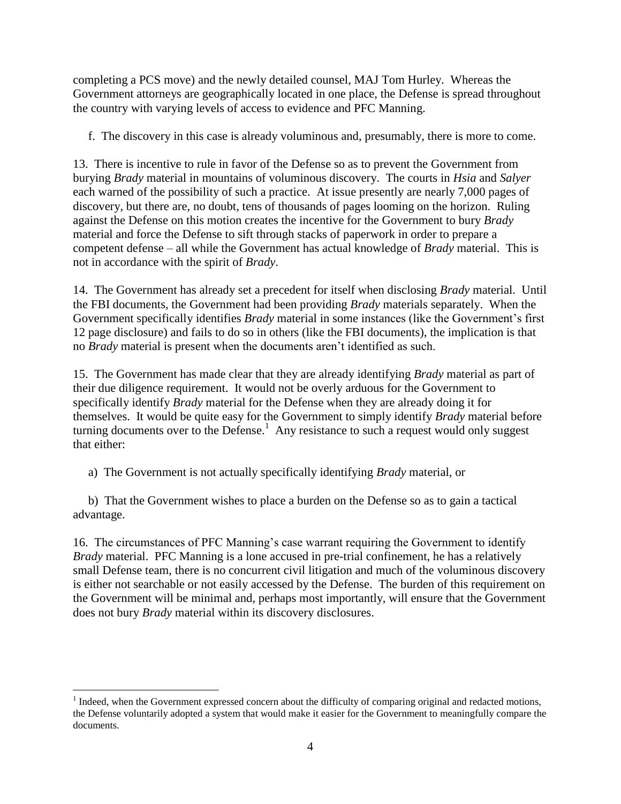completing a PCS move) and the newly detailed counsel, MAJ Tom Hurley. Whereas the Government attorneys are geographically located in one place, the Defense is spread throughout the country with varying levels of access to evidence and PFC Manning.

f. The discovery in this case is already voluminous and, presumably, there is more to come.

13. There is incentive to rule in favor of the Defense so as to prevent the Government from burying *Brady* material in mountains of voluminous discovery. The courts in *Hsia* and *Salyer* each warned of the possibility of such a practice. At issue presently are nearly 7,000 pages of discovery, but there are, no doubt, tens of thousands of pages looming on the horizon. Ruling against the Defense on this motion creates the incentive for the Government to bury *Brady* material and force the Defense to sift through stacks of paperwork in order to prepare a competent defense – all while the Government has actual knowledge of *Brady* material. This is not in accordance with the spirit of *Brady*.

14. The Government has already set a precedent for itself when disclosing *Brady* material. Until the FBI documents, the Government had been providing *Brady* materials separately. When the Government specifically identifies *Brady* material in some instances (like the Government's first 12 page disclosure) and fails to do so in others (like the FBI documents), the implication is that no *Brady* material is present when the documents aren't identified as such.

15. The Government has made clear that they are already identifying *Brady* material as part of their due diligence requirement. It would not be overly arduous for the Government to specifically identify *Brady* material for the Defense when they are already doing it for themselves. It would be quite easy for the Government to simply identify *Brady* material before turning documents over to the Defense.<sup>1</sup> Any resistance to such a request would only suggest that either:

a) The Government is not actually specifically identifying *Brady* material, or

 b) That the Government wishes to place a burden on the Defense so as to gain a tactical advantage.

16. The circumstances of PFC Manning's case warrant requiring the Government to identify *Brady* material. PFC Manning is a lone accused in pre-trial confinement, he has a relatively small Defense team, there is no concurrent civil litigation and much of the voluminous discovery is either not searchable or not easily accessed by the Defense. The burden of this requirement on the Government will be minimal and, perhaps most importantly, will ensure that the Government does not bury *Brady* material within its discovery disclosures.

 $\overline{a}$ 

 $<sup>1</sup>$  Indeed, when the Government expressed concern about the difficulty of comparing original and redacted motions,</sup> the Defense voluntarily adopted a system that would make it easier for the Government to meaningfully compare the documents.